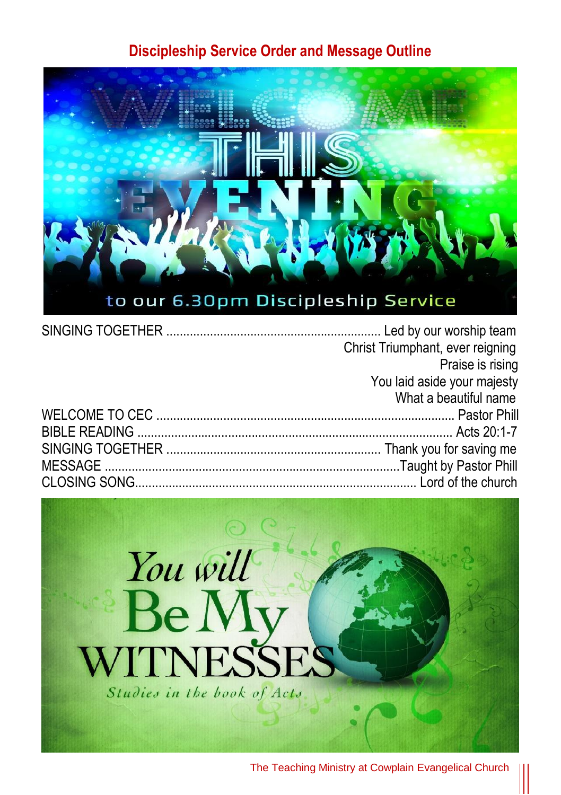#### **Discipleship Service Order and Message Outline**



|  | Christ Triumphant, ever reigning |
|--|----------------------------------|
|  | Praise is rising                 |
|  | You laid aside your majesty      |
|  | What a beautiful name            |
|  |                                  |
|  |                                  |
|  |                                  |
|  |                                  |
|  |                                  |

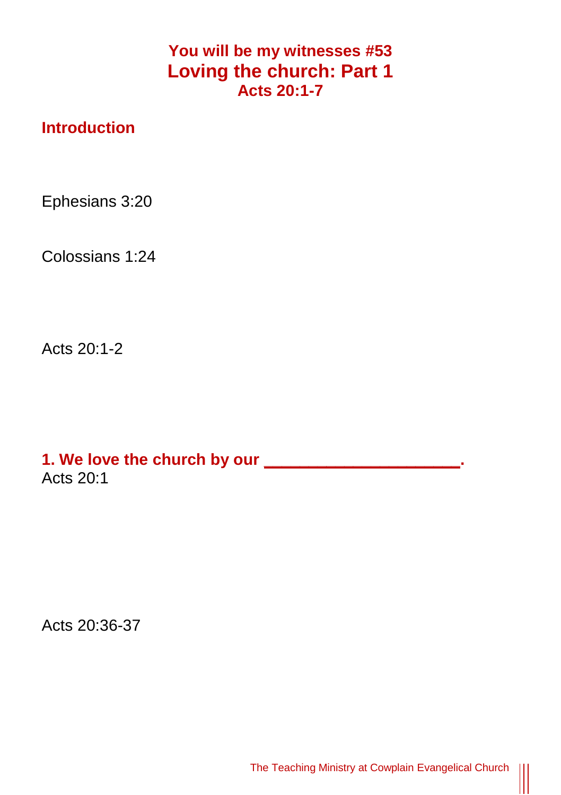### **You will be my witnesses #53 Loving the church: Part 1 Acts 20:1-7**

### **Introduction**

Ephesians 3:20

Colossians 1:24

Acts 20:1-2

**1. We love the church by our \_\_\_\_\_\_\_\_\_\_\_\_\_\_\_\_\_\_\_\_\_\_.** Acts 20:1

Acts 20:36-37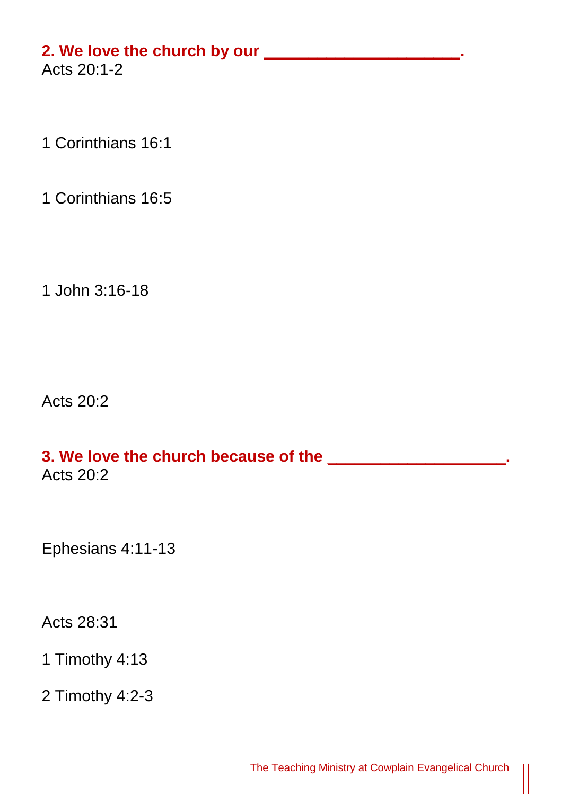# **2. We love the church by our \_\_\_\_\_\_\_\_\_\_\_\_\_\_\_\_\_\_\_\_\_\_.**

Acts 20:1-2

1 Corinthians 16:1

1 Corinthians 16:5

1 John 3:16-18

Acts 20:2

# **3. We love the church because of the \_\_\_\_\_\_\_\_\_\_\_\_\_\_\_\_\_\_\_\_.** Acts 20:2

Ephesians 4:11-13

Acts 28:31

1 Timothy 4:13

2 Timothy 4:2-3